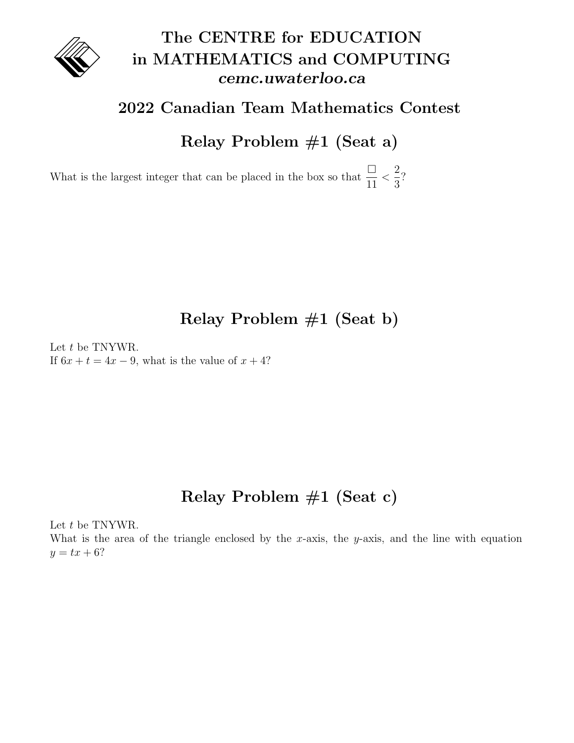

## The CENTRE for EDUCATION in MATHEMATICS and COMPUTING cemc.uwaterloo.ca

#### 2022 Canadian Team Mathematics Contest

Relay Problem #1 (Seat a)

What is the largest integer that can be placed in the box so that  $\frac{\Box}{\Box}$ 11  $\lt$ 2 3 ?

### Relay Problem #1 (Seat b)

Let t be TNYWR. If  $6x + t = 4x - 9$ , what is the value of  $x + 4$ ?

### Relay Problem #1 (Seat c)

Let t be TNYWR.

What is the area of the triangle enclosed by the x-axis, the y-axis, and the line with equation  $y = tx + 6?$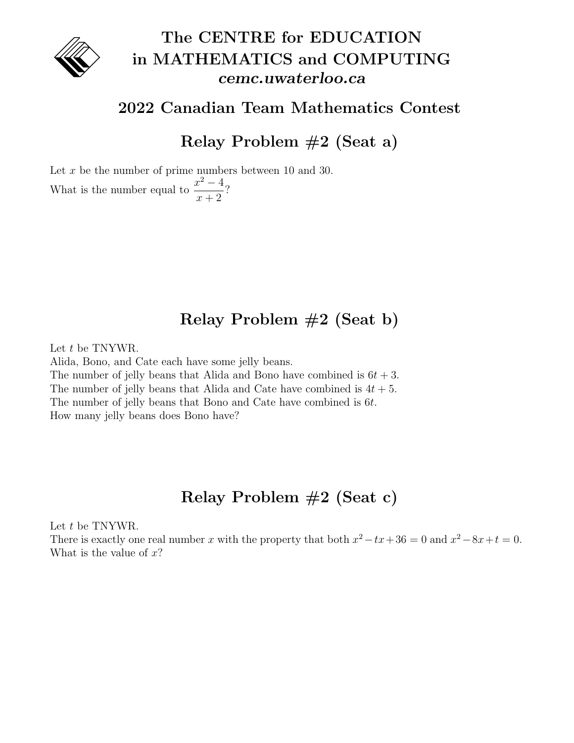

## The CENTRE for EDUCATION in MATHEMATICS and COMPUTING cemc.uwaterloo.ca

#### 2022 Canadian Team Mathematics Contest

Relay Problem #2 (Seat a)

Let x be the number of prime numbers between 10 and 30. What is the number equal to  $\frac{x^2-4}{x^2-4}$  $x + 2$ ?

### Relay Problem #2 (Seat b)

Let t be TNYWR.

Alida, Bono, and Cate each have some jelly beans. The number of jelly beans that Alida and Bono have combined is  $6t + 3$ . The number of jelly beans that Alida and Cate have combined is  $4t + 5$ . The number of jelly beans that Bono and Cate have combined is 6t. How many jelly beans does Bono have?

### Relay Problem #2 (Seat c)

Let  $t$  be TNYWR.

There is exactly one real number x with the property that both  $x^2 - tx + 36 = 0$  and  $x^2 - 8x + t = 0$ . What is the value of  $x$ ?